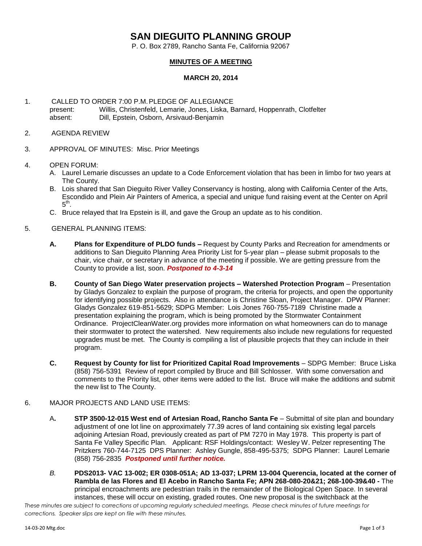## **SAN DIEGUITO PLANNING GROUP**

P. O. Box 2789, Rancho Santa Fe, California 92067

## **MINUTES OF A MEETING**

## **MARCH 20, 2014**

- 1. CALLED TO ORDER 7:00 P.M.PLEDGE OF ALLEGIANCE present: Willis, Christenfeld, Lemarie, Jones, Liska, Barnard, Hoppenrath, Clotfelter absent: Dill, Epstein, Osborn, Arsivaud-Benjamin
- 2. AGENDA REVIEW
- 3. APPROVAL OF MINUTES: Misc. Prior Meetings
- 4. OPEN FORUM:
	- A. Laurel Lemarie discusses an update to a Code Enforcement violation that has been in limbo for two years at The County.
	- B. Lois shared that San Dieguito River Valley Conservancy is hosting, along with California Center of the Arts, Escondido and Plein Air Painters of America, a special and unique fund raising event at the Center on April  $5^{\text{th}}$ .
	- C. Bruce relayed that Ira Epstein is ill, and gave the Group an update as to his condition.
- 5. GENERAL PLANNING ITEMS:
	- **A. Plans for Expenditure of PLDO funds –** Request by County Parks and Recreation for amendments or additions to San Dieguito Planning Area Priority List for 5-year plan – please submit proposals to the chair, vice chair, or secretary in advance of the meeting if possible. We are getting pressure from the County to provide a list, soon. *Postponed to 4-3-14*
	- **B. County of San Diego Water preservation projects – Watershed Protection Program** Presentation by Gladys Gonzalez to explain the purpose of program, the criteria for projects, and open the opportunity for identifying possible projects. Also in attendance is Christine Sloan, Project Manager. DPW Planner: Gladys Gonzalez 619-851-5629; SDPG Member: Lois Jones 760-755-7189 Christine made a presentation explaining the program, which is being promoted by the Stormwater Containment Ordinance. ProjectCleanWater.org provides more information on what homeowners can do to manage their stormwater to protect the watershed. New requirements also include new regulations for requested upgrades must be met. The County is compiling a list of plausible projects that they can include in their program.
	- **C. Request by County for list for Prioritized Capital Road Improvements** SDPG Member: Bruce Liska (858) 756-5391 Review of report compiled by Bruce and Bill Schlosser. With some conversation and comments to the Priority list, other items were added to the list. Bruce will make the additions and submit the new list to The County.
- 6. MAJOR PROJECTS AND LAND USE ITEMS:
	- A**. STP 3500-12-015 West end of Artesian Road, Rancho Santa Fe** Submittal of site plan and boundary adjustment of one lot line on approximately 77.39 acres of land containing six existing legal parcels adjoining Artesian Road, previously created as part of PM 7270 in May 1978. This property is part of Santa Fe Valley Specific Plan.Applicant: RSF Holdings/contact: Wesley W. Pelzer representing The Pritzkers 760-744-7125 DPS Planner: Ashley Gungle, 858-495-5375; SDPG Planner: Laurel Lemarie (858) 756-2835 *Postponed until further notice.*
	- *B.* **PDS2013- VAC 13-002; ER 0308-051A; AD 13-037; LPRM 13-004 Querencia, located at the corner of Rambla de las Flores and El Acebo in Rancho Santa Fe; APN 268-080-20&21; 268-100-39&40 -** The principal encroachments are pedestrian trails in the remainder of the Biological Open Space. In several instances, these will occur on existing, graded routes. One new proposal is the switchback at the

*These minutes are subject to corrections at upcoming regularly scheduled meetings. Please check minutes of future meetings for corrections. Speaker slips are kept on file with these minutes.*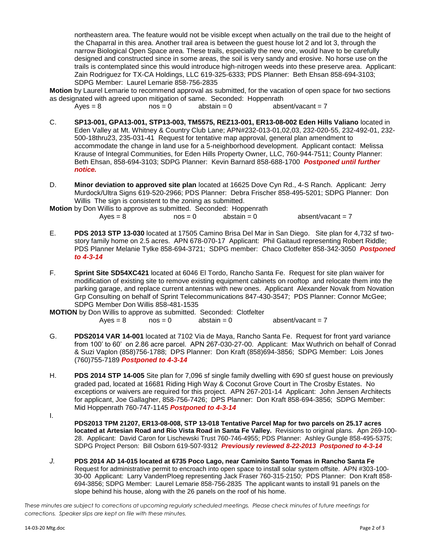northeastern area. The feature would not be visible except when actually on the trail due to the height of the Chaparral in this area. Another trail area is between the guest house lot 2 and lot 3, through the narrow Biological Open Space area. These trails, especially the new one, would have to be carefully designed and constructed since in some areas, the soil is very sandy and erosive. No horse use on the trails is contemplated since this would introduce high-nitrogen weeds into these preserve area. Applicant: Zain Rodriguez for TX-CA Holdings, LLC 619-325-6333; PDS Planner: Beth Ehsan 858-694-3103; SDPG Member: Laurel Lemarie 858-756-2835

**Motion** by Laurel Lemarie to recommend approval as submitted, for the vacation of open space for two sections as designated with agreed upon mitigation of same. Seconded: Hoppenrath

 $Ayes = 8$  nos = 0 abstain = 0 absent/vacant = 7

- C. **SP13-001, GPA13-001, STP13-003, TM5575, REZ13-001, ER13-08-002 Eden Hills Valiano** located in Eden Valley at Mt. Whitney & Country Club Lane; APN#232-013-01,02,03, 232-020-55, 232-492-01, 232- 500-18thru23, 235-031-41 Request for tentative map approval, general plan amendment to accommodate the change in land use for a 5-neighborhood development. Applicant contact: Melissa Krause of Integral Communities, for Eden Hills Property Owner, LLC, 760-944-7511; County Planner: Beth Ehsan, 858-694-3103; SDPG Planner: Kevin Barnard 858-688-1700 *Postponed until further notice.*
- D. **Minor deviation to approved site plan** located at 16625 Dove Cyn Rd., 4-S Ranch. Applicant: Jerry Murdock/Ultra Signs 619-520-2966; PDS Planner: Debra Frischer 858-495-5201; SDPG Planner: Don Willis The sign is consistent to the zoning as submitted.

**Motion** by Don Willis to approve as submitted. Seconded: Hoppenrath  $Aves = 8$  nos = 0 abstain = 0 absent/vacant = 7

- E. **PDS 2013 STP 13-030** located at 17505 Camino Brisa Del Mar in San Diego. Site plan for 4,732 sf twostory family home on 2.5 acres. APN 678-070-17 Applicant: Phil Gaitaud representing Robert Riddle; PDS Planner Melanie Tylke 858-694-3721; SDPG member: Chaco Clotfelter 858-342-3050 *Postponed to 4-3-14*
- F. **Sprint Site SD54XC421** located at 6046 El Tordo, Rancho Santa Fe. Request for site plan waiver for modification of existing site to remove existing equipment cabinets on rooftop and relocate them into the parking garage, and replace current antennas with new ones. Applicant Alexander Novak from Novation Grp Consulting on behalf of Sprint Telecommunications 847-430-3547; PDS Planner: Connor McGee; SDPG Member Don Willis 858-481-1535

**MOTION** by Don Willis to approve as submitted. Seconded: Clotfelter

 $Aves = 8$   $nos = 0$  abstain = 0 absent/vacant = 7

- G. **PDS2014 VAR 14-001** located at 7102 Via de Maya, Rancho Santa Fe. Request for front yard variance from 100' to 60' on 2.86 acre parcel. APN 267-030-27-00. Applicant: Max Wuthrich on behalf of Conrad & Suzi Vaplon (858)756-1788; DPS Planner: Don Kraft (858)694-3856; SDPG Member: Lois Jones (760)755-7189 *Postponed to 4-3-14*
- H. **PDS 2014 STP 14-005** Site plan for 7,096 sf single family dwelling with 690 sf guest house on previously graded pad, located at 16681 Riding High Way & Coconut Grove Court in The Crosby Estates. No exceptions or waivers are required for this project. APN 267-201-14 Applicant: John Jensen Architects for applicant, Joe Gallagher, 858-756-7426; DPS Planner: Don Kraft 858-694-3856; SDPG Member: Mid Hoppenrath 760-747-1145 *Postponed to 4-3-14*
- I.
	- **PDS2013 TPM 21207, ER13-08-008, STP 13-018 Tentative Parcel Map for two parcels on 25.17 acres located at Artesian Road and Rio Vista Road in Santa Fe Valley.** Revisions to original plans. Apn 269-100- 28. Applicant: David Caron for Lischewski Trust 760-746-4955; PDS Planner: Ashley Gungle 858-495-5375; SDPG Project Person: Bill Osborn 619-507-9312 *Previously reviewed 8-22-2013 Postponed to 4-3-14*
- *J.* **PDS 2014 AD 14-015 located at 6735 Poco Lago, near Caminito Santo Tomas in Rancho Santa Fe**  Request for administrative permit to encroach into open space to install solar system offsite. APN #303-100- 30-00 Applicant: Larry VanderrPloeg representing Jack Fraser 760-315-2150; PDS Planner: Don Kraft 858- 694-3856; SDPG Member: Laurel Lemarie 858-756-2835 The applicant wants to install 91 panels on the slope behind his house, along with the 26 panels on the roof of his home.

*These minutes are subject to corrections at upcoming regularly scheduled meetings. Please check minutes of future meetings for corrections. Speaker slips are kept on file with these minutes.*